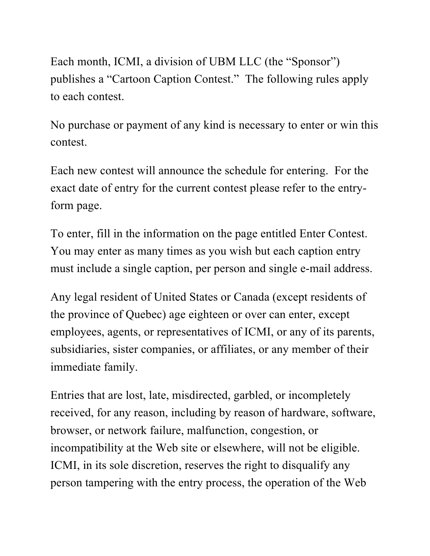Each month, ICMI, a division of UBM LLC (the "Sponsor") publishes a "Cartoon Caption Contest." The following rules apply to each contest.

No purchase or payment of any kind is necessary to enter or win this contest.

Each new contest will announce the schedule for entering. For the exact date of entry for the current contest please refer to the entryform page.

To enter, fill in the information on the page entitled Enter Contest. You may enter as many times as you wish but each caption entry must include a single caption, per person and single e-mail address.

Any legal resident of United States or Canada (except residents of the province of Quebec) age eighteen or over can enter, except employees, agents, or representatives of ICMI, or any of its parents, subsidiaries, sister companies, or affiliates, or any member of their immediate family.

Entries that are lost, late, misdirected, garbled, or incompletely received, for any reason, including by reason of hardware, software, browser, or network failure, malfunction, congestion, or incompatibility at the Web site or elsewhere, will not be eligible. ICMI, in its sole discretion, reserves the right to disqualify any person tampering with the entry process, the operation of the Web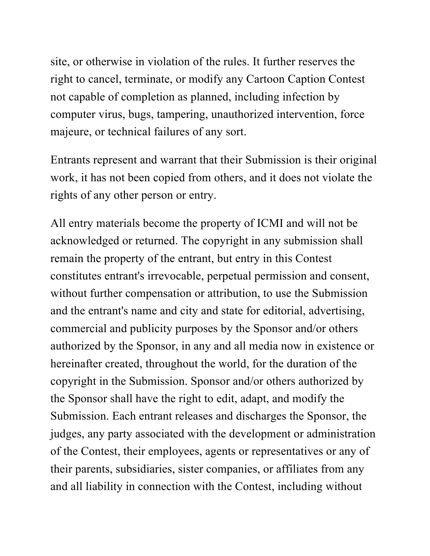site, or otherwise in violation of the rules. It further reserves the right to cancel, terminate, or modify any Cartoon Caption Contest not capable of completion as planned, including infection by computer virus, bugs, tampering, unauthorized intervention, force majeure, or technical failures of any sort.

Entrants represent and warrant that their Submission is their original work, it has not been copied from others, and it does not violate the rights of any other person or entry.

All entry materials become the property of ICMI and will not be acknowledged or returned. The copyright in any submission shall remain the property of the entrant, but entry in this Contest constitutes entrant's irrevocable, perpetual permission and consent, without further compensation or attribution, to use the Submission and the entrant's name and city and state for editorial, advertising, commercial and publicity purposes by the Sponsor and/or others authorized by the Sponsor, in any and all media now in existence or hereinafter created, throughout the world, for the duration of the copyright in the Submission. Sponsor and/or others authorized by the Sponsor shall have the right to edit, adapt, and modify the Submission. Each entrant releases and discharges the Sponsor, the judges, any party associated with the development or administration of the Contest, their employees, agents or representatives or any of their parents, subsidiaries, sister companies, or affiliates from any and all liability in connection with the Contest, including without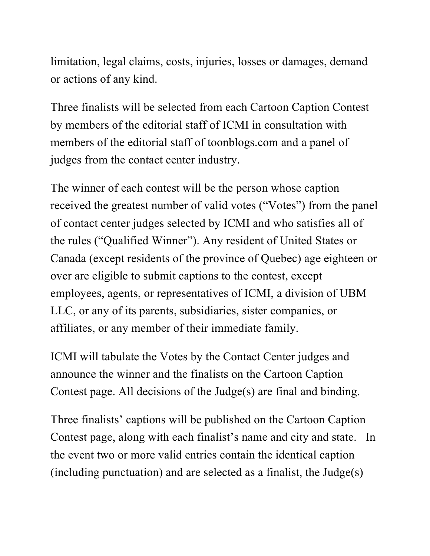limitation, legal claims, costs, injuries, losses or damages, demand or actions of any kind.

Three finalists will be selected from each Cartoon Caption Contest by members of the editorial staff of ICMI in consultation with members of the editorial staff of toonblogs.com and a panel of judges from the contact center industry.

The winner of each contest will be the person whose caption received the greatest number of valid votes ("Votes") from the panel of contact center judges selected by ICMI and who satisfies all of the rules ("Qualified Winner"). Any resident of United States or Canada (except residents of the province of Quebec) age eighteen or over are eligible to submit captions to the contest, except employees, agents, or representatives of ICMI, a division of UBM LLC, or any of its parents, subsidiaries, sister companies, or affiliates, or any member of their immediate family.

ICMI will tabulate the Votes by the Contact Center judges and announce the winner and the finalists on the Cartoon Caption Contest page. All decisions of the Judge(s) are final and binding.

Three finalists' captions will be published on the Cartoon Caption Contest page, along with each finalist's name and city and state. In the event two or more valid entries contain the identical caption (including punctuation) and are selected as a finalist, the Judge(s)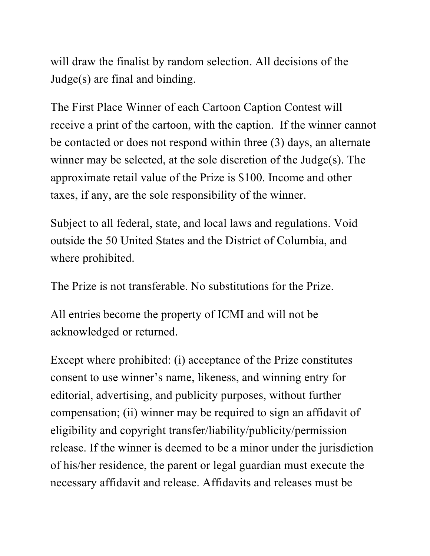will draw the finalist by random selection. All decisions of the Judge(s) are final and binding.

The First Place Winner of each Cartoon Caption Contest will receive a print of the cartoon, with the caption. If the winner cannot be contacted or does not respond within three (3) days, an alternate winner may be selected, at the sole discretion of the Judge(s). The approximate retail value of the Prize is \$100. Income and other taxes, if any, are the sole responsibility of the winner.

Subject to all federal, state, and local laws and regulations. Void outside the 50 United States and the District of Columbia, and where prohibited.

The Prize is not transferable. No substitutions for the Prize.

All entries become the property of ICMI and will not be acknowledged or returned.

Except where prohibited: (i) acceptance of the Prize constitutes consent to use winner's name, likeness, and winning entry for editorial, advertising, and publicity purposes, without further compensation; (ii) winner may be required to sign an affidavit of eligibility and copyright transfer/liability/publicity/permission release. If the winner is deemed to be a minor under the jurisdiction of his/her residence, the parent or legal guardian must execute the necessary affidavit and release. Affidavits and releases must be